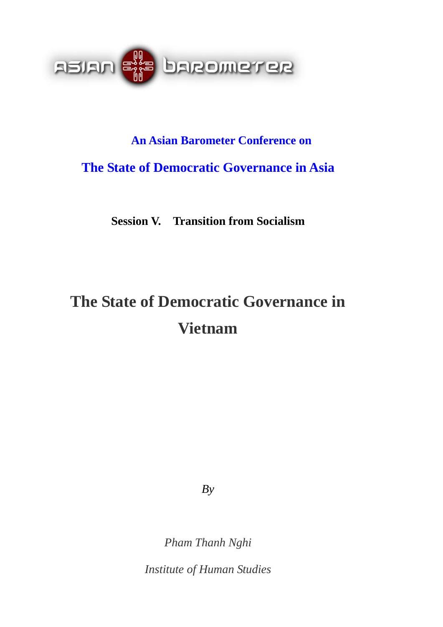

# **An Asian Barometer Conference on The State of Democratic Governance in Asia**

**Session V. Transition from Socialism** 

# **The State of Democratic Governance in Vietnam**

*By* 

*Pham Thanh Nghi* 

*Institute of Human Studies*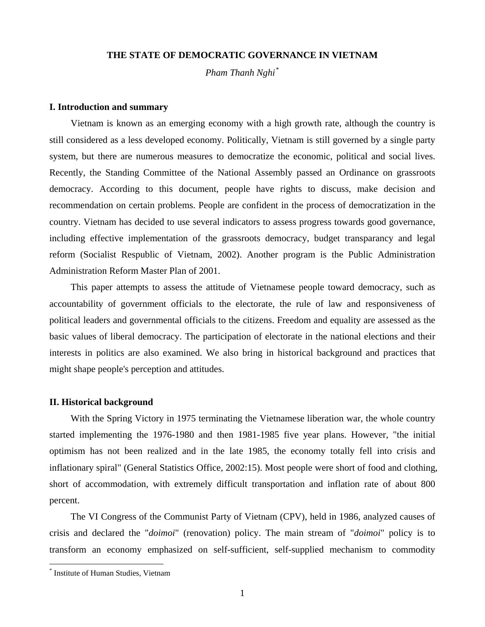## **THE STATE OF DEMOCRATIC GOVERNANCE IN VIETNAM**

*Pham Thanh Nghi[\\*](#page-1-0)*

#### **I. Introduction and summary**

Vietnam is known as an emerging economy with a high growth rate, although the country is still considered as a less developed economy. Politically, Vietnam is still governed by a single party system, but there are numerous measures to democratize the economic, political and social lives. Recently, the Standing Committee of the National Assembly passed an Ordinance on grassroots democracy. According to this document, people have rights to discuss, make decision and recommendation on certain problems. People are confident in the process of democratization in the country. Vietnam has decided to use several indicators to assess progress towards good governance, including effective implementation of the grassroots democracy, budget transparancy and legal reform (Socialist Respublic of Vietnam, 2002). Another program is the Public Administration Administration Reform Master Plan of 2001.

This paper attempts to assess the attitude of Vietnamese people toward democracy, such as accountability of government officials to the electorate, the rule of law and responsiveness of political leaders and governmental officials to the citizens. Freedom and equality are assessed as the basic values of liberal democracy. The participation of electorate in the national elections and their interests in politics are also examined. We also bring in historical background and practices that might shape people's perception and attitudes.

## **II. Historical background**

With the Spring Victory in 1975 terminating the Vietnamese liberation war, the whole country started implementing the 1976-1980 and then 1981-1985 five year plans. However, "the initial optimism has not been realized and in the late 1985, the economy totally fell into crisis and inflationary spiral" (General Statistics Office, 2002:15). Most people were short of food and clothing, short of accommodation, with extremely difficult transportation and inflation rate of about 800 percent.

The VI Congress of the Communist Party of Vietnam (CPV), held in 1986, analyzed causes of crisis and declared the "*doimoi*" (renovation) policy. The main stream of "*doimoi*" policy is to transform an economy emphasized on self-sufficient, self-supplied mechanism to commodity

 $\overline{a}$ 

<span id="page-1-0"></span><sup>\*</sup> Institute of Human Studies, Vietnam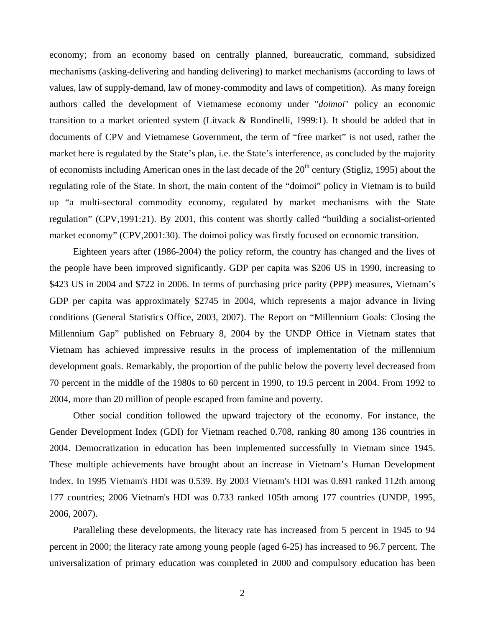economy; from an economy based on centrally planned, bureaucratic, command, subsidized mechanisms (asking-delivering and handing delivering) to market mechanisms (according to laws of values, law of supply-demand, law of money-commodity and laws of competition). As many foreign authors called the development of Vietnamese economy under "*doimoi*" policy an economic transition to a market oriented system (Litvack & Rondinelli, 1999:1). It should be added that in documents of CPV and Vietnamese Government, the term of "free market" is not used, rather the market here is regulated by the State's plan, i.e. the State's interference, as concluded by the majority of economists including American ones in the last decade of the  $20<sup>th</sup>$  century (Stigliz, 1995) about the regulating role of the State. In short, the main content of the "doimoi" policy in Vietnam is to build up "a multi-sectoral commodity economy, regulated by market mechanisms with the State regulation" (CPV,1991:21). By 2001, this content was shortly called "building a socialist-oriented market economy" (CPV,2001:30). The doimoi policy was firstly focused on economic transition.

Eighteen years after (1986-2004) the policy reform, the country has changed and the lives of the people have been improved significantly. GDP per capita was \$206 US in 1990, increasing to \$423 US in 2004 and \$722 in 2006. In terms of purchasing price parity (PPP) measures, Vietnam's GDP per capita was approximately \$2745 in 2004, which represents a major advance in living conditions (General Statistics Office, 2003, 2007). The Report on "Millennium Goals: Closing the Millennium Gap" published on February 8, 2004 by the UNDP Office in Vietnam states that Vietnam has achieved impressive results in the process of implementation of the millennium development goals. Remarkably, the proportion of the public below the poverty level decreased from 70 percent in the middle of the 1980s to 60 percent in 1990, to 19.5 percent in 2004. From 1992 to 2004, more than 20 million of people escaped from famine and poverty.

Other social condition followed the upward trajectory of the economy. For instance, the Gender Development Index (GDI) for Vietnam reached 0.708, ranking 80 among 136 countries in 2004. Democratization in education has been implemented successfully in Vietnam since 1945. These multiple achievements have brought about an increase in Vietnam's Human Development Index. In 1995 Vietnam's HDI was 0.539. By 2003 Vietnam's HDI was 0.691 ranked 112th among 177 countries; 2006 Vietnam's HDI was 0.733 ranked 105th among 177 countries (UNDP, 1995, 2006, 2007).

Paralleling these developments, the literacy rate has increased from 5 percent in 1945 to 94 percent in 2000; the literacy rate among young people (aged 6-25) has increased to 96.7 percent. The universalization of primary education was completed in 2000 and compulsory education has been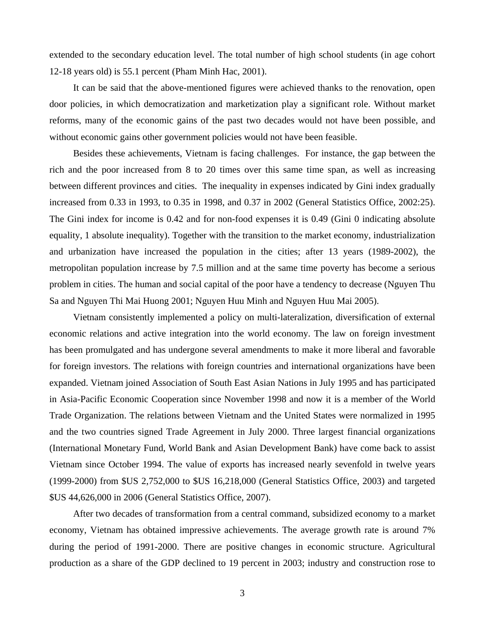extended to the secondary education level. The total number of high school students (in age cohort 12-18 years old) is 55.1 percent (Pham Minh Hac, 2001).

It can be said that the above-mentioned figures were achieved thanks to the renovation, open door policies, in which democratization and marketization play a significant role. Without market reforms, many of the economic gains of the past two decades would not have been possible, and without economic gains other government policies would not have been feasible.

Besides these achievements, Vietnam is facing challenges. For instance, the gap between the rich and the poor increased from 8 to 20 times over this same time span, as well as increasing between different provinces and cities. The inequality in expenses indicated by Gini index gradually increased from 0.33 in 1993, to 0.35 in 1998, and 0.37 in 2002 (General Statistics Office, 2002:25). The Gini index for income is 0.42 and for non-food expenses it is 0.49 (Gini 0 indicating absolute equality, 1 absolute inequality). Together with the transition to the market economy, industrialization and urbanization have increased the population in the cities; after 13 years (1989-2002), the metropolitan population increase by 7.5 million and at the same time poverty has become a serious problem in cities. The human and social capital of the poor have a tendency to decrease (Nguyen Thu Sa and Nguyen Thi Mai Huong 2001; Nguyen Huu Minh and Nguyen Huu Mai 2005).

Vietnam consistently implemented a policy on multi-lateralization, diversification of external economic relations and active integration into the world economy. The law on foreign investment has been promulgated and has undergone several amendments to make it more liberal and favorable for foreign investors. The relations with foreign countries and international organizations have been expanded. Vietnam joined Association of South East Asian Nations in July 1995 and has participated in Asia-Pacific Economic Cooperation since November 1998 and now it is a member of the World Trade Organization. The relations between Vietnam and the United States were normalized in 1995 and the two countries signed Trade Agreement in July 2000. Three largest financial organizations (International Monetary Fund, World Bank and Asian Development Bank) have come back to assist Vietnam since October 1994. The value of exports has increased nearly sevenfold in twelve years (1999-2000) from \$US 2,752,000 to \$US 16,218,000 (General Statistics Office, 2003) and targeted \$US 44,626,000 in 2006 (General Statistics Office, 2007).

After two decades of transformation from a central command, subsidized economy to a market economy, Vietnam has obtained impressive achievements. The average growth rate is around 7% during the period of 1991-2000. There are positive changes in economic structure. Agricultural production as a share of the GDP declined to 19 percent in 2003; industry and construction rose to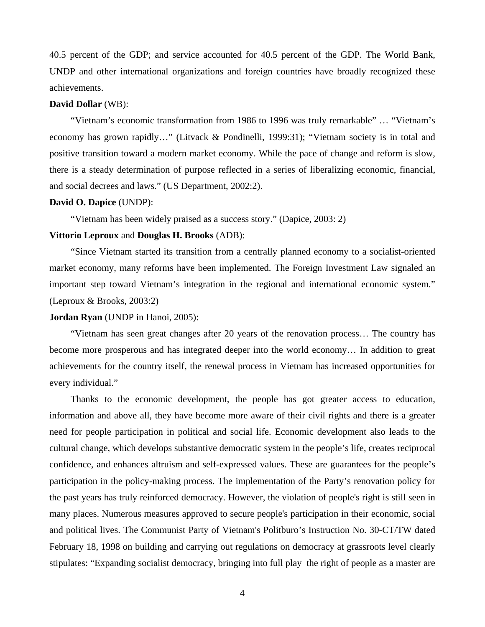40.5 percent of the GDP; and service accounted for 40.5 percent of the GDP. The World Bank, UNDP and other international organizations and foreign countries have broadly recognized these achievements.

## **David Dollar** (WB):

"Vietnam's economic transformation from 1986 to 1996 was truly remarkable" … "Vietnam's economy has grown rapidly…" (Litvack & Pondinelli, 1999:31); "Vietnam society is in total and positive transition toward a modern market economy. While the pace of change and reform is slow, there is a steady determination of purpose reflected in a series of liberalizing economic, financial, and social decrees and laws." (US Department, 2002:2).

#### **David O. Dapice** (UNDP):

"Vietnam has been widely praised as a success story." (Dapice, 2003: 2)

# **Vittorio Leproux** and **Douglas H. Brooks** (ADB):

"Since Vietnam started its transition from a centrally planned economy to a socialist-oriented market economy, many reforms have been implemented. The Foreign Investment Law signaled an important step toward Vietnam's integration in the regional and international economic system." (Leproux & Brooks, 2003:2)

#### **Jordan Ryan** (UNDP in Hanoi, 2005):

"Vietnam has seen great changes after 20 years of the renovation process… The country has become more prosperous and has integrated deeper into the world economy… In addition to great achievements for the country itself, the renewal process in Vietnam has increased opportunities for every individual."

Thanks to the economic development, the people has got greater access to education, information and above all, they have become more aware of their civil rights and there is a greater need for people participation in political and social life. Economic development also leads to the cultural change, which develops substantive democratic system in the people's life, creates reciprocal confidence, and enhances altruism and self-expressed values. These are guarantees for the people's participation in the policy-making process. The implementation of the Party's renovation policy for the past years has truly reinforced democracy. However, the violation of people's right is still seen in many places. Numerous measures approved to secure people's participation in their economic, social and political lives. The Communist Party of Vietnam's Politburo's Instruction No. 30-CT/TW dated February 18, 1998 on building and carrying out regulations on democracy at grassroots level clearly stipulates: "Expanding socialist democracy, bringing into full play the right of people as a master are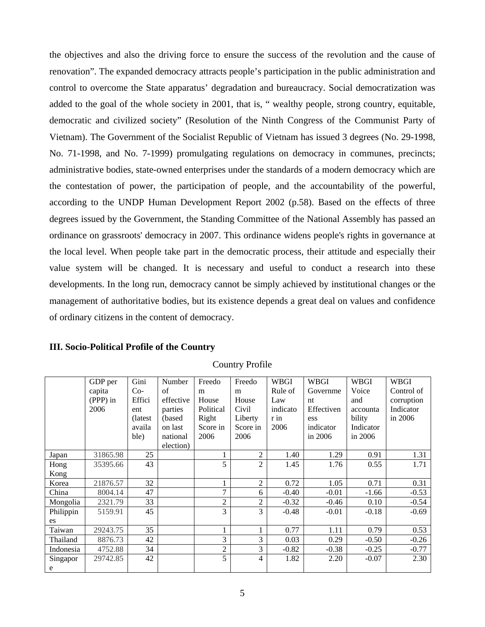the objectives and also the driving force to ensure the success of the revolution and the cause of renovation". The expanded democracy attracts people's participation in the public administration and control to overcome the State apparatus' degradation and bureaucracy. Social democratization was added to the goal of the whole society in 2001, that is, " wealthy people, strong country, equitable, democratic and civilized society" (Resolution of the Ninth Congress of the Communist Party of Vietnam). The Government of the Socialist Republic of Vietnam has issued 3 degrees (No. 29-1998, No. 71-1998, and No. 7-1999) promulgating regulations on democracy in communes, precincts; administrative bodies, state-owned enterprises under the standards of a modern democracy which are the contestation of power, the participation of people, and the accountability of the powerful, according to the UNDP Human Development Report 2002 (p.58). Based on the effects of three degrees issued by the Government, the Standing Committee of the National Assembly has passed an ordinance on grassroots' democracy in 2007. This ordinance widens people's rights in governance at the local level. When people take part in the democratic process, their attitude and especially their value system will be changed. It is necessary and useful to conduct a research into these developments. In the long run, democracy cannot be simply achieved by institutional changes or the management of authoritative bodies, but its existence depends a great deal on values and confidence of ordinary citizens in the content of democracy.

**III. Socio-Political Profile of the Country** 

|           | GDP per  | Gini     | Number    | Freedo         | Freedo         | <b>WBGI</b> | <b>WBGI</b> | <b>WBGI</b> | WBGI       |
|-----------|----------|----------|-----------|----------------|----------------|-------------|-------------|-------------|------------|
|           | capita   | $Co-$    | of        | m              | m              | Rule of     | Governme    | Voice       | Control of |
|           | (PPP) in | Effici   | effective | House          | House          | Law         | nt          | and         | corruption |
|           | 2006     | ent      | parties   | Political      | Civil          | indicato    | Effectiven  | accounta    | Indicator  |
|           |          | (latest) | (based)   | Right          | Liberty        | r in        | ess         | bility      | in 2006    |
|           |          | availa   | on last   | Score in       | Score in       | 2006        | indicator   | Indicator   |            |
|           |          | ble)     | national  | 2006           | 2006           |             | in 2006     | in 2006     |            |
|           |          |          | election) |                |                |             |             |             |            |
| Japan     | 31865.98 | 25       |           |                | $\overline{2}$ | 1.40        | 1.29        | 0.91        | 1.31       |
| Hong      | 35395.66 | 43       |           | 5              | $\overline{2}$ | 1.45        | 1.76        | 0.55        | 1.71       |
| Kong      |          |          |           |                |                |             |             |             |            |
| Korea     | 21876.57 | 32       |           |                | 2              | 0.72        | 1.05        | 0.71        | 0.31       |
| China     | 8004.14  | 47       |           | $\overline{7}$ | 6              | $-0.40$     | $-0.01$     | $-1.66$     | $-0.53$    |
| Mongolia  | 2321.79  | 33       |           | 2              | $\overline{2}$ | $-0.32$     | $-0.46$     | 0.10        | $-0.54$    |
| Philippin | 5159.91  | 45       |           | 3              | 3              | $-0.48$     | $-0.01$     | $-0.18$     | $-0.69$    |
| es        |          |          |           |                |                |             |             |             |            |
| Taiwan    | 29243.75 | 35       |           |                |                | 0.77        | 1.11        | 0.79        | 0.53       |
| Thailand  | 8876.73  | 42       |           | 3              | 3              | 0.03        | 0.29        | $-0.50$     | $-0.26$    |
| Indonesia | 4752.88  | 34       |           | $\overline{2}$ | 3              | $-0.82$     | $-0.38$     | $-0.25$     | $-0.77$    |
| Singapor  | 29742.85 | 42       |           | 5              | 4              | 1.82        | 2.20        | $-0.07$     | 2.30       |
| e         |          |          |           |                |                |             |             |             |            |

Country Profile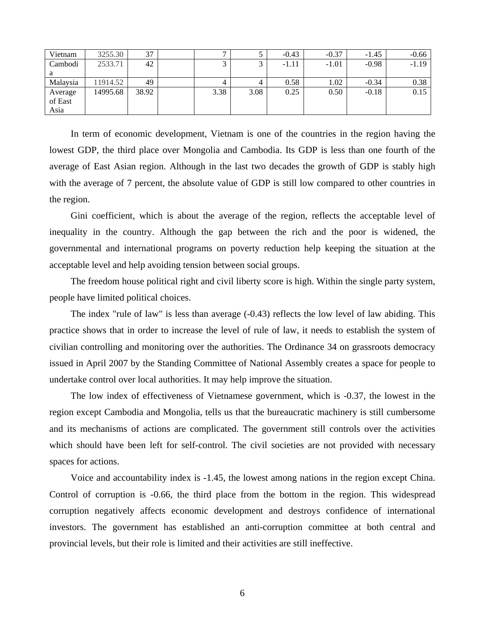| Vietnam  | 3255.30  | 37    |      |      | $-0.43$ | $-0.37$ | $-1.45$ | $-0.66$ |
|----------|----------|-------|------|------|---------|---------|---------|---------|
| Cambodi  | 2533.71  | 42    |      |      | $-1.11$ | $-1.01$ | $-0.98$ | $-1.19$ |
| a        |          |       |      |      |         |         |         |         |
| Malaysia | 11914.52 | 49    |      |      | 0.58    | 1.02    | $-0.34$ | 0.38    |
| Average  | 14995.68 | 38.92 | 3.38 | 3.08 | 0.25    | 0.50    | $-0.18$ | 0.15    |
| of East  |          |       |      |      |         |         |         |         |
| Asia     |          |       |      |      |         |         |         |         |

In term of economic development, Vietnam is one of the countries in the region having the lowest GDP, the third place over Mongolia and Cambodia. Its GDP is less than one fourth of the average of East Asian region. Although in the last two decades the growth of GDP is stably high with the average of 7 percent, the absolute value of GDP is still low compared to other countries in the region.

Gini coefficient, which is about the average of the region, reflects the acceptable level of inequality in the country. Although the gap between the rich and the poor is widened, the governmental and international programs on poverty reduction help keeping the situation at the acceptable level and help avoiding tension between social groups.

The freedom house political right and civil liberty score is high. Within the single party system, people have limited political choices.

The index "rule of law" is less than average (-0.43) reflects the low level of law abiding. This practice shows that in order to increase the level of rule of law, it needs to establish the system of civilian controlling and monitoring over the authorities. The Ordinance 34 on grassroots democracy issued in April 2007 by the Standing Committee of National Assembly creates a space for people to undertake control over local authorities. It may help improve the situation.

The low index of effectiveness of Vietnamese government, which is -0.37, the lowest in the region except Cambodia and Mongolia, tells us that the bureaucratic machinery is still cumbersome and its mechanisms of actions are complicated. The government still controls over the activities which should have been left for self-control. The civil societies are not provided with necessary spaces for actions.

Voice and accountability index is -1.45, the lowest among nations in the region except China. Control of corruption is -0.66, the third place from the bottom in the region. This widespread corruption negatively affects economic development and destroys confidence of international investors. The government has established an anti-corruption committee at both central and provincial levels, but their role is limited and their activities are still ineffective.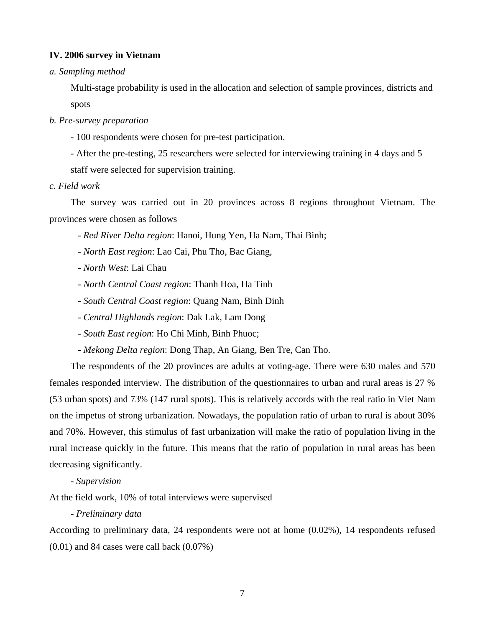## **IV. 2006 survey in Vietnam**

## *a. Sampling method*

Multi-stage probability is used in the allocation and selection of sample provinces, districts and spots

- *b. Pre-survey preparation* 
	- 100 respondents were chosen for pre-test participation.
	- After the pre-testing, 25 researchers were selected for interviewing training in 4 days and 5

staff were selected for supervision training.

## *c. Field work*

The survey was carried out in 20 provinces across 8 regions throughout Vietnam. The provinces were chosen as follows

- *Red River Delta region*: Hanoi, Hung Yen, Ha Nam, Thai Binh;
- *North East region*: Lao Cai, Phu Tho, Bac Giang,
- *North West*: Lai Chau
- *North Central Coast region*: Thanh Hoa, Ha Tinh
- *South Central Coast region*: Quang Nam, Binh Dinh
- *Central Highlands region*: Dak Lak, Lam Dong
- *South East region*: Ho Chi Minh, Binh Phuoc;
- *Mekong Delta region*: Dong Thap, An Giang, Ben Tre, Can Tho.

The respondents of the 20 provinces are adults at voting-age. There were 630 males and 570 females responded interview. The distribution of the questionnaires to urban and rural areas is 27 % (53 urban spots) and 73% (147 rural spots). This is relatively accords with the real ratio in Viet Nam on the impetus of strong urbanization. Nowadays, the population ratio of urban to rural is about 30% and 70%. However, this stimulus of fast urbanization will make the ratio of population living in the rural increase quickly in the future. This means that the ratio of population in rural areas has been decreasing significantly.

*- Supervision* 

At the field work, 10% of total interviews were supervised

# *- Preliminary data*

According to preliminary data, 24 respondents were not at home (0.02%), 14 respondents refused  $(0.01)$  and 84 cases were call back  $(0.07\%)$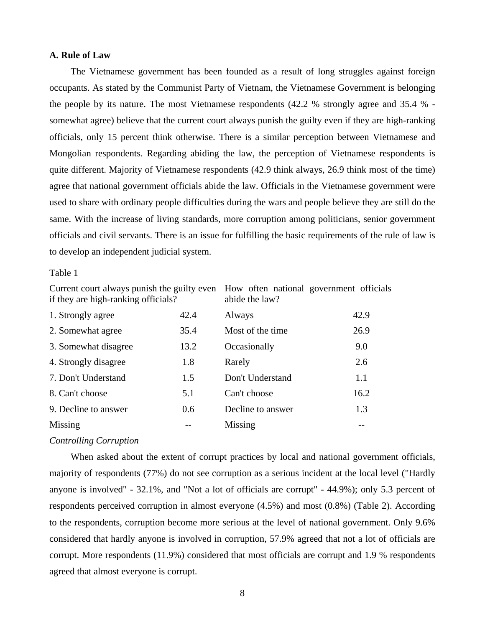# **A. Rule of Law**

The Vietnamese government has been founded as a result of long struggles against foreign occupants. As stated by the Communist Party of Vietnam, the Vietnamese Government is belonging the people by its nature. The most Vietnamese respondents (42.2 % strongly agree and 35.4 % somewhat agree) believe that the current court always punish the guilty even if they are high-ranking officials, only 15 percent think otherwise. There is a similar perception between Vietnamese and Mongolian respondents. Regarding abiding the law, the perception of Vietnamese respondents is quite different. Majority of Vietnamese respondents (42.9 think always, 26.9 think most of the time) agree that national government officials abide the law. Officials in the Vietnamese government were used to share with ordinary people difficulties during the wars and people believe they are still do the same. With the increase of living standards, more corruption among politicians, senior government officials and civil servants. There is an issue for fulfilling the basic requirements of the rule of law is to develop an independent judicial system.

#### Table 1

Current court always punish the guilty even How often national government officials if they are high-ranking officials?

abide the law?

| 1. Strongly agree    | 42.4 | Always            | 42.9 |
|----------------------|------|-------------------|------|
| 2. Somewhat agree    | 35.4 | Most of the time  | 26.9 |
| 3. Somewhat disagree | 13.2 | Occasionally      | 9.0  |
| 4. Strongly disagree | 1.8  | Rarely            | 2.6  |
| 7. Don't Understand  | 1.5  | Don't Understand  | 1.1  |
| 8. Can't choose      | 5.1  | Can't choose      | 16.2 |
| 9. Decline to answer | 0.6  | Decline to answer | 1.3  |
| Missing              |      | Missing           |      |

#### *Controlling Corruption*

When asked about the extent of corrupt practices by local and national government officials, majority of respondents (77%) do not see corruption as a serious incident at the local level ("Hardly anyone is involved" - 32.1%, and "Not a lot of officials are corrupt" - 44.9%); only 5.3 percent of respondents perceived corruption in almost everyone (4.5%) and most (0.8%) (Table 2). According to the respondents, corruption become more serious at the level of national government. Only 9.6% considered that hardly anyone is involved in corruption, 57.9% agreed that not a lot of officials are corrupt. More respondents (11.9%) considered that most officials are corrupt and 1.9 % respondents agreed that almost everyone is corrupt.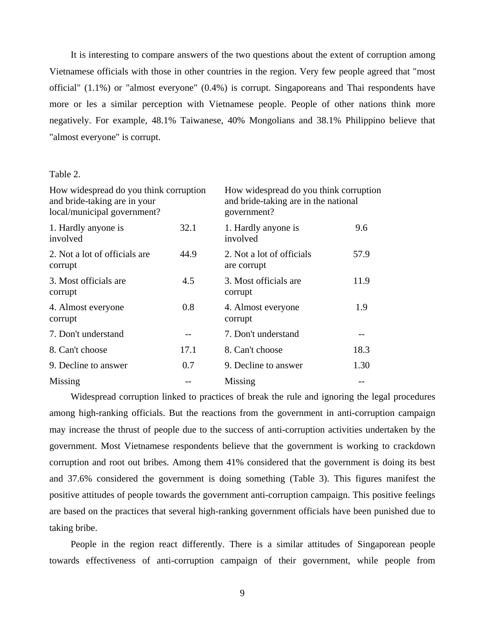It is interesting to compare answers of the two questions about the extent of corruption among Vietnamese officials with those in other countries in the region. Very few people agreed that "most official" (1.1%) or "almost everyone" (0.4%) is corrupt. Singaporeans and Thai respondents have more or les a similar perception with Vietnamese people. People of other nations think more negatively. For example, 48.1% Taiwanese, 40% Mongolians and 38.1% Philippino believe that "almost everyone" is corrupt.

## Table 2.

| How widespread do you think corruption<br>and bride-taking are in your<br>local/municipal government? |      | How widespread do you think corruption<br>and bride-taking are in the national<br>government? |      |  |
|-------------------------------------------------------------------------------------------------------|------|-----------------------------------------------------------------------------------------------|------|--|
| 1. Hardly anyone is<br>involved                                                                       | 32.1 | 1. Hardly anyone is<br>involved                                                               | 9.6  |  |
| 2. Not a lot of officials are<br>corrupt                                                              | 44.9 | 2. Not a lot of officials<br>are corrupt                                                      | 57.9 |  |
| 3. Most officials are<br>corrupt                                                                      | 4.5  | 3. Most officials are<br>corrupt                                                              | 11.9 |  |
| 4. Almost everyone<br>corrupt                                                                         | 0.8  | 4. Almost everyone<br>corrupt                                                                 | 1.9  |  |
| 7. Don't understand                                                                                   |      | 7. Don't understand                                                                           |      |  |
| 8. Can't choose                                                                                       | 17.1 | 8. Can't choose                                                                               | 18.3 |  |
| 9. Decline to answer                                                                                  | 0.7  | 9. Decline to answer                                                                          | 1.30 |  |
| Missing                                                                                               |      | Missing                                                                                       |      |  |

Widespread corruption linked to practices of break the rule and ignoring the legal procedures among high-ranking officials. But the reactions from the government in anti-corruption campaign may increase the thrust of people due to the success of anti-corruption activities undertaken by the government. Most Vietnamese respondents believe that the government is working to crackdown corruption and root out bribes. Among them 41% considered that the government is doing its best and 37.6% considered the government is doing something (Table 3). This figures manifest the positive attitudes of people towards the government anti-corruption campaign. This positive feelings are based on the practices that several high-ranking government officials have been punished due to taking bribe.

People in the region react differently. There is a similar attitudes of Singaporean people towards effectiveness of anti-corruption campaign of their government, while people from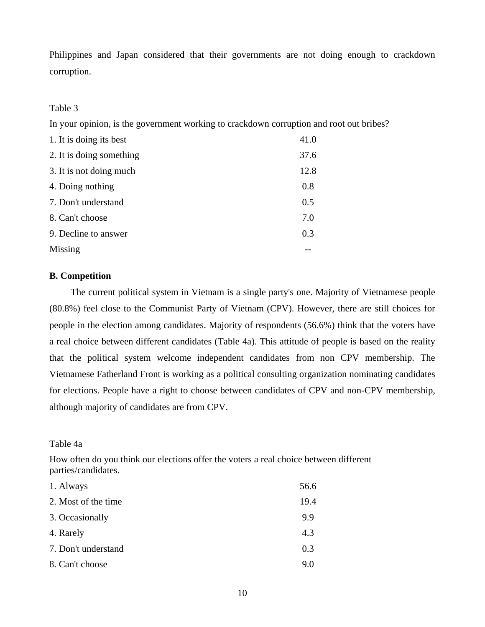Philippines and Japan considered that their governments are not doing enough to crackdown corruption.

# Table 3

In your opinion, is the government working to crackdown corruption and root out bribes?

| 1. It is doing its best  | 41.0 |
|--------------------------|------|
| 2. It is doing something | 37.6 |
| 3. It is not doing much  | 12.8 |
| 4. Doing nothing         | 0.8  |
| 7. Don't understand      | 0.5  |
| 8. Can't choose          | 7.0  |
| 9. Decline to answer     | 0.3  |
| Missing                  |      |

# **B. Competition**

The current political system in Vietnam is a single party's one. Majority of Vietnamese people (80.8%) feel close to the Communist Party of Vietnam (CPV). However, there are still choices for people in the election among candidates. Majority of respondents (56.6%) think that the voters have a real choice between different candidates (Table 4a). This attitude of people is based on the reality that the political system welcome independent candidates from non CPV membership. The Vietnamese Fatherland Front is working as a political consulting organization nominating candidates for elections. People have a right to choose between candidates of CPV and non-CPV membership, although majority of candidates are from CPV.

# Table 4a

How often do you think our elections offer the voters a real choice between different parties/candidates.

| 1. Always           | 56.6 |
|---------------------|------|
| 2. Most of the time | 19.4 |
| 3. Occasionally     | 9.9  |
| 4. Rarely           | 4.3  |
| 7. Don't understand | 0.3  |
| 8. Can't choose     | 9.0  |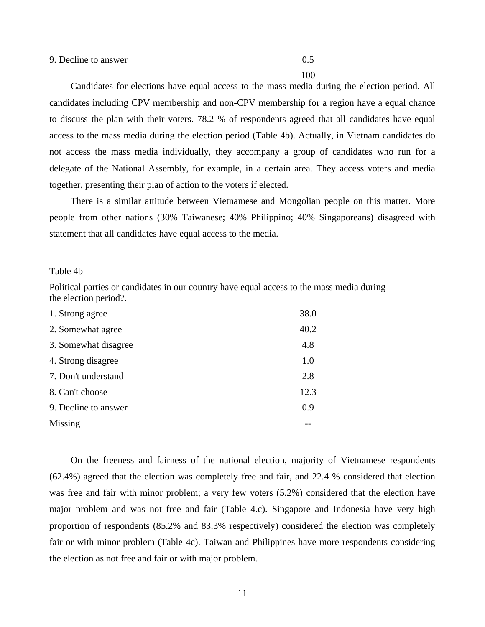100

Candidates for elections have equal access to the mass media during the election period. All candidates including CPV membership and non-CPV membership for a region have a equal chance to discuss the plan with their voters. 78.2 % of respondents agreed that all candidates have equal access to the mass media during the election period (Table 4b). Actually, in Vietnam candidates do not access the mass media individually, they accompany a group of candidates who run for a delegate of the National Assembly, for example, in a certain area. They access voters and media together, presenting their plan of action to the voters if elected.

There is a similar attitude between Vietnamese and Mongolian people on this matter. More people from other nations (30% Taiwanese; 40% Philippino; 40% Singaporeans) disagreed with statement that all candidates have equal access to the media.

#### Table 4b

Political parties or candidates in our country have equal access to the mass media during the election period?.

| 1. Strong agree      | 38.0 |
|----------------------|------|
| 2. Somewhat agree    | 40.2 |
| 3. Somewhat disagree | 4.8  |
| 4. Strong disagree   | 1.0  |
| 7. Don't understand  | 2.8  |
| 8. Can't choose      | 12.3 |
| 9. Decline to answer | 0.9  |
| Missing              |      |

On the freeness and fairness of the national election, majority of Vietnamese respondents (62.4%) agreed that the election was completely free and fair, and 22.4 % considered that election was free and fair with minor problem; a very few voters (5.2%) considered that the election have major problem and was not free and fair (Table 4.c). Singapore and Indonesia have very high proportion of respondents (85.2% and 83.3% respectively) considered the election was completely fair or with minor problem (Table 4c). Taiwan and Philippines have more respondents considering the election as not free and fair or with major problem.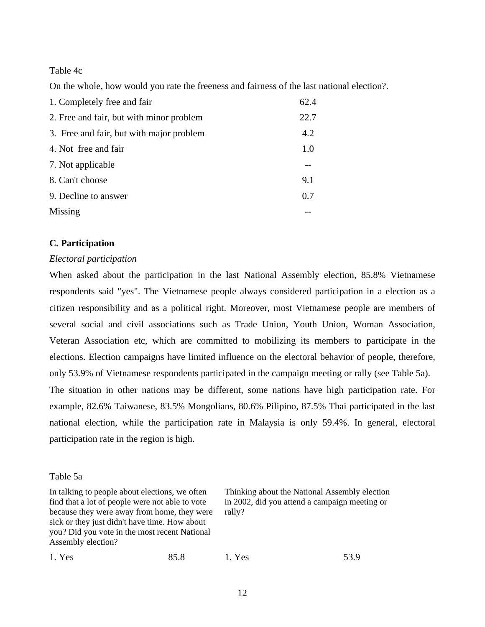Table 4c

On the whole, how would you rate the freeness and fairness of the last national election?.

| 1. Completely free and fair              | 62.4 |
|------------------------------------------|------|
| 2. Free and fair, but with minor problem | 22.7 |
| 3. Free and fair, but with major problem | 4.2  |
| 4. Not free and fair                     | 1.0  |
| 7. Not applicable                        |      |
| 8. Can't choose                          | 9.1  |
| 9. Decline to answer                     | 0.7  |
| Missing                                  |      |

# **C. Participation**

# *Electoral participation*

When asked about the participation in the last National Assembly election, 85.8% Vietnamese respondents said "yes". The Vietnamese people always considered participation in a election as a citizen responsibility and as a political right. Moreover, most Vietnamese people are members of several social and civil associations such as Trade Union, Youth Union, Woman Association, Veteran Association etc, which are committed to mobilizing its members to participate in the elections. Election campaigns have limited influence on the electoral behavior of people, therefore, only 53.9% of Vietnamese respondents participated in the campaign meeting or rally (see Table 5a). The situation in other nations may be different, some nations have high participation rate. For example, 82.6% Taiwanese, 83.5% Mongolians, 80.6% Pilipino, 87.5% Thai participated in the last national election, while the participation rate in Malaysia is only 59.4%. In general, electoral participation rate in the region is high.

#### Table 5a

In talking to people about elections, we often find that a lot of people were not able to vote because they were away from home, they were sick or they just didn't have time. How about you? Did you vote in the most recent National Assembly election?

Thinking about the National Assembly election in 2002, did you attend a campaign meeting or rally?

|  | 1. Yes | 85.8 | 1. Yes | 53.9 |
|--|--------|------|--------|------|
|--|--------|------|--------|------|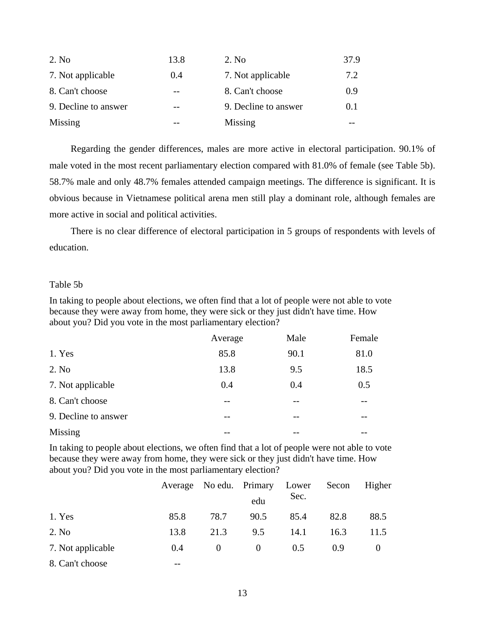| 2. No.               | 13.8 | 2. No                | 37.9 |
|----------------------|------|----------------------|------|
| 7. Not applicable    | 0.4  | 7. Not applicable    | 7.2  |
| 8. Can't choose      |      | 8. Can't choose      | 0.9  |
| 9. Decline to answer | --   | 9. Decline to answer | 0.1  |
| Missing              |      | Missing              |      |

Regarding the gender differences, males are more active in electoral participation. 90.1% of male voted in the most recent parliamentary election compared with 81.0% of female (see Table 5b). 58.7% male and only 48.7% females attended campaign meetings. The difference is significant. It is obvious because in Vietnamese political arena men still play a dominant role, although females are more active in social and political activities.

There is no clear difference of electoral participation in 5 groups of respondents with levels of education.

# Table 5b

In taking to people about elections, we often find that a lot of people were not able to vote because they were away from home, they were sick or they just didn't have time. How about you? Did you vote in the most parliamentary election?

|                      | Average | Male  | Female |
|----------------------|---------|-------|--------|
| 1. Yes               | 85.8    | 90.1  | 81.0   |
| 2. No                | 13.8    | 9.5   | 18.5   |
| 7. Not applicable    | 0.4     | 0.4   | 0.5    |
| 8. Can't choose      | --      |       |        |
| 9. Decline to answer | --      | $- -$ |        |
| Missing              | --      |       |        |

In taking to people about elections, we often find that a lot of people were not able to vote because they were away from home, they were sick or they just didn't have time. How about you? Did you vote in the most parliamentary election?

|                   |      |          | Average No edu. Primary Lower |      | Secon | Higher   |
|-------------------|------|----------|-------------------------------|------|-------|----------|
|                   |      |          | edu                           | Sec. |       |          |
| 1. Yes            | 85.8 | 78.7     | 90.5                          | 85.4 | 82.8  | 88.5     |
| 2. No             | 13.8 | 21.3     | 9.5                           | 14.1 | 16.3  | 11.5     |
| 7. Not applicable | 0.4  | $\Omega$ | $\Omega$                      | 0.5  | 0.9   | $\theta$ |
| 8. Can't choose   | --   |          |                               |      |       |          |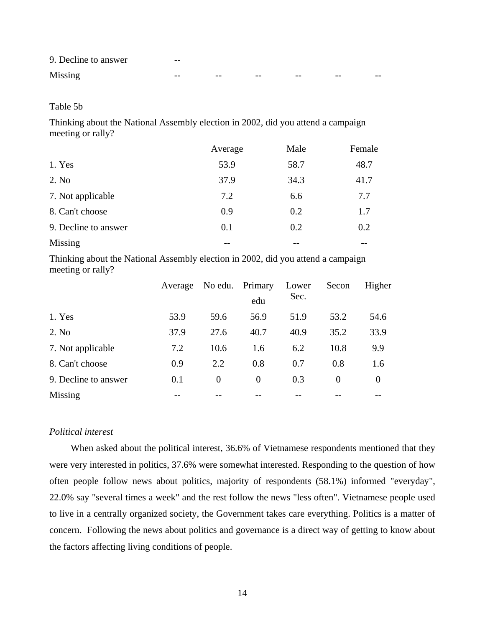| 9. Decline to answer | $- -$ |       |      |    |       |       |
|----------------------|-------|-------|------|----|-------|-------|
| Missing              | $ -$  | $- -$ | $ -$ | -- | $- -$ | $- -$ |

# Table 5b

Thinking about the National Assembly election in 2002, did you attend a campaign meeting or rally?

|                      | Average | Male | Female |
|----------------------|---------|------|--------|
| 1. Yes               | 53.9    | 58.7 | 48.7   |
| 2. No                | 37.9    | 34.3 | 41.7   |
| 7. Not applicable    | 7.2     | 6.6  | 7.7    |
| 8. Can't choose      | 0.9     | 0.2  | 1.7    |
| 9. Decline to answer | 0.1     | 0.2  | 0.2    |
| Missing              |         |      |        |

Thinking about the National Assembly election in 2002, did you attend a campaign meeting or rally?

|                      | Average |                | No edu. Primary | Lower | Secon    | Higher   |
|----------------------|---------|----------------|-----------------|-------|----------|----------|
|                      |         |                | edu             | Sec.  |          |          |
| 1. Yes               | 53.9    | 59.6           | 56.9            | 51.9  | 53.2     | 54.6     |
| 2. No.               | 37.9    | 27.6           | 40.7            | 40.9  | 35.2     | 33.9     |
| 7. Not applicable    | 7.2     | 10.6           | 1.6             | 6.2   | 10.8     | 9.9      |
| 8. Can't choose      | 0.9     | 2.2            | 0.8             | 0.7   | 0.8      | 1.6      |
| 9. Decline to answer | 0.1     | $\overline{0}$ | $\overline{0}$  | 0.3   | $\Omega$ | $\theta$ |
| Missing              |         |                |                 |       |          |          |

# *Political interest*

When asked about the political interest, 36.6% of Vietnamese respondents mentioned that they were very interested in politics, 37.6% were somewhat interested. Responding to the question of how often people follow news about politics, majority of respondents (58.1%) informed "everyday", 22.0% say "several times a week" and the rest follow the news "less often". Vietnamese people used to live in a centrally organized society, the Government takes care everything. Politics is a matter of concern. Following the news about politics and governance is a direct way of getting to know about the factors affecting living conditions of people.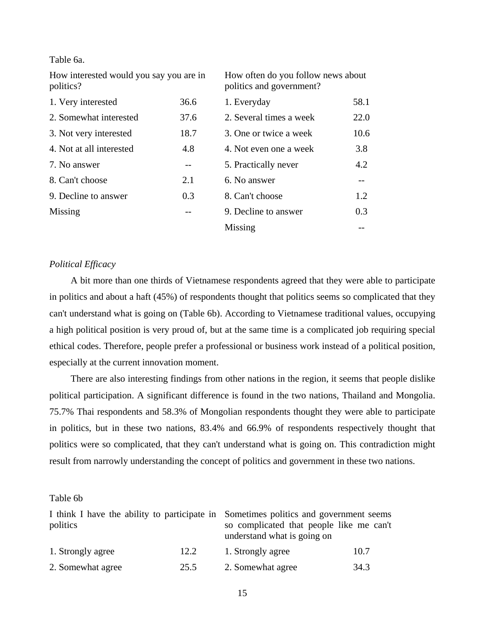Table 6a.

How interested would you say you are in politics?

How often do you follow news about politics and government?

| 1. Very interested       | 36.6 | 1. Everyday             | 58.1 |
|--------------------------|------|-------------------------|------|
| 2. Somewhat interested   | 37.6 | 2. Several times a week | 22.0 |
| 3. Not very interested   | 18.7 | 3. One or twice a week  | 10.6 |
| 4. Not at all interested | 4.8  | 4. Not even one a week  | 3.8  |
| 7. No answer             | --   | 5. Practically never    | 4.2  |
| 8. Can't choose          | 2.1  | 6. No answer            |      |
| 9. Decline to answer     | 0.3  | 8. Can't choose         | 1.2  |
| Missing                  | --   | 9. Decline to answer    | 0.3  |
|                          |      | Missing                 |      |

# *Political Efficacy*

A bit more than one thirds of Vietnamese respondents agreed that they were able to participate in politics and about a haft (45%) of respondents thought that politics seems so complicated that they can't understand what is going on (Table 6b). According to Vietnamese traditional values, occupying a high political position is very proud of, but at the same time is a complicated job requiring special ethical codes. Therefore, people prefer a professional or business work instead of a political position, especially at the current innovation moment.

There are also interesting findings from other nations in the region, it seems that people dislike political participation. A significant difference is found in the two nations, Thailand and Mongolia. 75.7% Thai respondents and 58.3% of Mongolian respondents thought they were able to participate in politics, but in these two nations, 83.4% and 66.9% of respondents respectively thought that politics were so complicated, that they can't understand what is going on. This contradiction might result from narrowly understanding the concept of politics and government in these two nations.

# Table 6b

| I think I have the ability to participate in Sometimes politics and government seems |      |                                                                         |      |
|--------------------------------------------------------------------------------------|------|-------------------------------------------------------------------------|------|
| politics                                                                             |      | so complicated that people like me can't<br>understand what is going on |      |
| 1. Strongly agree                                                                    | 12.2 | 1. Strongly agree                                                       | 10.7 |
| 2. Somewhat agree                                                                    | 25.5 | 2. Somewhat agree                                                       | 34.3 |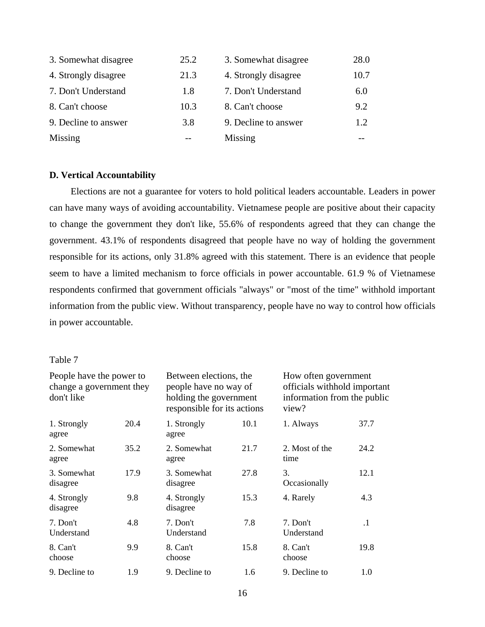| 3. Somewhat disagree | 25.2 | 3. Somewhat disagree | 28.0 |
|----------------------|------|----------------------|------|
| 4. Strongly disagree | 21.3 | 4. Strongly disagree | 10.7 |
| 7. Don't Understand  | 1.8  | 7. Don't Understand  | 6.0  |
| 8. Can't choose      | 10.3 | 8. Can't choose      | 9.2  |
| 9. Decline to answer | 3.8  | 9. Decline to answer | 1.2  |
| Missing              |      | Missing              |      |

# **D. Vertical Accountability**

Elections are not a guarantee for voters to hold political leaders accountable. Leaders in power can have many ways of avoiding accountability. Vietnamese people are positive about their capacity to change the government they don't like, 55.6% of respondents agreed that they can change the government. 43.1% of respondents disagreed that people have no way of holding the government responsible for its actions, only 31.8% agreed with this statement. There is an evidence that people seem to have a limited mechanism to force officials in power accountable. 61.9 % of Vietnamese respondents confirmed that government officials "always" or "most of the time" withhold important information from the public view. Without transparency, people have no way to control how officials in power accountable.

# Table 7

| People have the power to<br>change a government they<br>don't like |      | Between elections, the<br>people have no way of<br>holding the government<br>responsible for its actions |      | How often government<br>officials withhold important<br>information from the public<br>view? |           |  |
|--------------------------------------------------------------------|------|----------------------------------------------------------------------------------------------------------|------|----------------------------------------------------------------------------------------------|-----------|--|
| 1. Strongly<br>agree                                               | 20.4 | 1. Strongly<br>agree                                                                                     | 10.1 | 1. Always                                                                                    | 37.7      |  |
| 2. Somewhat<br>agree                                               | 35.2 | 2. Somewhat<br>agree                                                                                     | 21.7 | 2. Most of the<br>time                                                                       | 24.2      |  |
| 3. Somewhat<br>disagree                                            | 17.9 | 3. Somewhat<br>disagree                                                                                  | 27.8 | 3.<br>Occasionally                                                                           | 12.1      |  |
| 4. Strongly<br>disagree                                            | 9.8  | 4. Strongly<br>disagree                                                                                  | 15.3 | 4. Rarely                                                                                    | 4.3       |  |
| 7. Don't<br>Understand                                             | 4.8  | 7. Don't<br>Understand                                                                                   | 7.8  | 7. Don't<br>Understand                                                                       | $\cdot$ 1 |  |
| 8. Can't<br>choose                                                 | 9.9  | 8. Can't<br>choose                                                                                       | 15.8 | 8. Can't<br>choose                                                                           | 19.8      |  |
| 9. Decline to                                                      | 1.9  | 9. Decline to                                                                                            | 1.6  | 9. Decline to                                                                                | 1.0       |  |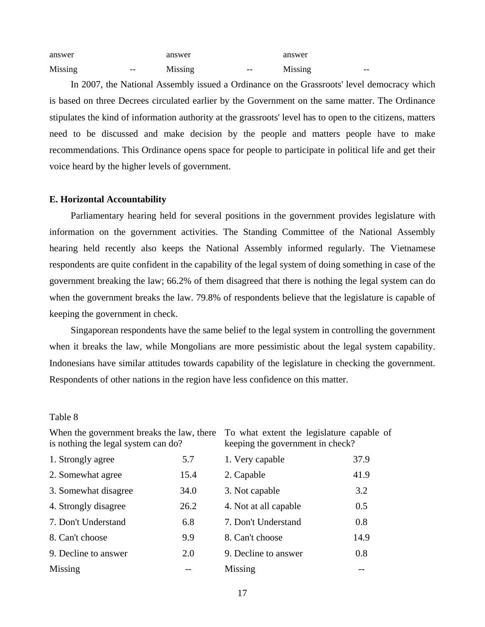| answer  |       | answer  |       | answer  |       |
|---------|-------|---------|-------|---------|-------|
| Missing | $- -$ | Missing | $- -$ | Missing | $- -$ |

In 2007, the National Assembly issued a Ordinance on the Grassroots' level democracy which is based on three Decrees circulated earlier by the Government on the same matter. The Ordinance stipulates the kind of information authority at the grassroots' level has to open to the citizens, matters need to be discussed and make decision by the people and matters people have to make recommendations. This Ordinance opens space for people to participate in political life and get their voice heard by the higher levels of government.

## **E. Horizontal Accountability**

Parliamentary hearing held for several positions in the government provides legislature with information on the government activities. The Standing Committee of the National Assembly hearing held recently also keeps the National Assembly informed regularly. The Vietnamese respondents are quite confident in the capability of the legal system of doing something in case of the government breaking the law; 66.2% of them disagreed that there is nothing the legal system can do when the government breaks the law. 79.8% of respondents believe that the legislature is capable of keeping the government in check.

Singaporean respondents have the same belief to the legal system in controlling the government when it breaks the law, while Mongolians are more pessimistic about the legal system capability. Indonesians have similar attitudes towards capability of the legislature in checking the government. Respondents of other nations in the region have less confidence on this matter.

# Table 8

| is nothing the legal system can do? |      | keeping the government in check? |      |  |  |
|-------------------------------------|------|----------------------------------|------|--|--|
| 1. Strongly agree<br>5.7            |      | 1. Very capable                  | 37.9 |  |  |
| 2. Somewhat agree                   | 15.4 | 2. Capable                       | 41.9 |  |  |
| 3. Somewhat disagree                | 34.0 | 3. Not capable                   | 3.2  |  |  |
| 4. Strongly disagree                | 26.2 | 4. Not at all capable            | 0.5  |  |  |
| 7. Don't Understand                 | 6.8  | 7. Don't Understand              | 0.8  |  |  |
| 8. Can't choose                     | 9.9  | 8. Can't choose                  | 14.9 |  |  |
| 9. Decline to answer                | 2.0  | 9. Decline to answer             | 0.8  |  |  |
| Missing                             |      | Missing                          |      |  |  |

When the government breaks the law, there To what extent the legislature capable of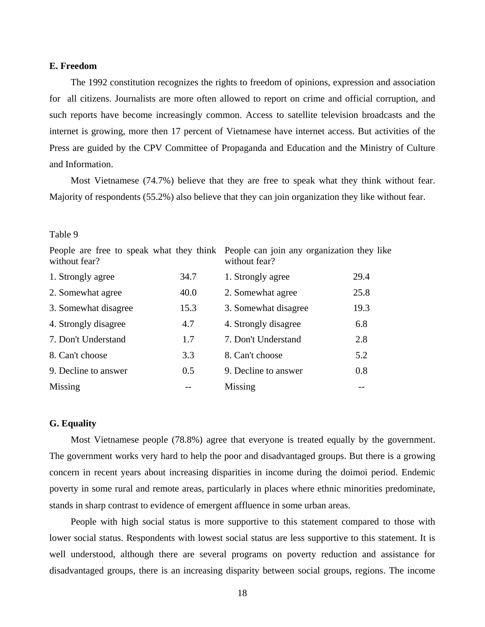# **E. Freedom**

The 1992 constitution recognizes the rights to freedom of opinions, expression and association for all citizens. Journalists are more often allowed to report on crime and official corruption, and such reports have become increasingly common. Access to satellite television broadcasts and the internet is growing, more then 17 percent of Vietnamese have internet access. But activities of the Press are guided by the CPV Committee of Propaganda and Education and the Ministry of Culture and Information.

Most Vietnamese (74.7%) believe that they are free to speak what they think without fear. Majority of respondents (55.2%) also believe that they can join organization they like without fear.

#### Table 9

| without fear?        |      | People are free to speak what they think People can join any organization they like<br>without fear? |      |  |  |  |
|----------------------|------|------------------------------------------------------------------------------------------------------|------|--|--|--|
| 1. Strongly agree    | 34.7 | 1. Strongly agree                                                                                    | 29.4 |  |  |  |
| 2. Somewhat agree    | 40.0 | 2. Somewhat agree                                                                                    | 25.8 |  |  |  |
| 3. Somewhat disagree | 15.3 | 3. Somewhat disagree                                                                                 | 19.3 |  |  |  |
| 4. Strongly disagree | 4.7  | 4. Strongly disagree                                                                                 | 6.8  |  |  |  |
| 7. Don't Understand  | 1.7  | 7. Don't Understand                                                                                  | 2.8  |  |  |  |
| 8. Can't choose      | 3.3  | 8. Can't choose                                                                                      | 5.2  |  |  |  |
| 9. Decline to answer | 0.5  | 9. Decline to answer                                                                                 | 0.8  |  |  |  |
| Missing              |      | Missing                                                                                              |      |  |  |  |

# **G. Equality**

Most Vietnamese people (78.8%) agree that everyone is treated equally by the government. The government works very hard to help the poor and disadvantaged groups. But there is a growing concern in recent years about increasing disparities in income during the doimoi period. Endemic poverty in some rural and remote areas, particularly in places where ethnic minorities predominate, stands in sharp contrast to evidence of emergent affluence in some urban areas.

People with high social status is more supportive to this statement compared to those with lower social status. Respondents with lowest social status are less supportive to this statement. It is well understood, although there are several programs on poverty reduction and assistance for disadvantaged groups, there is an increasing disparity between social groups, regions. The income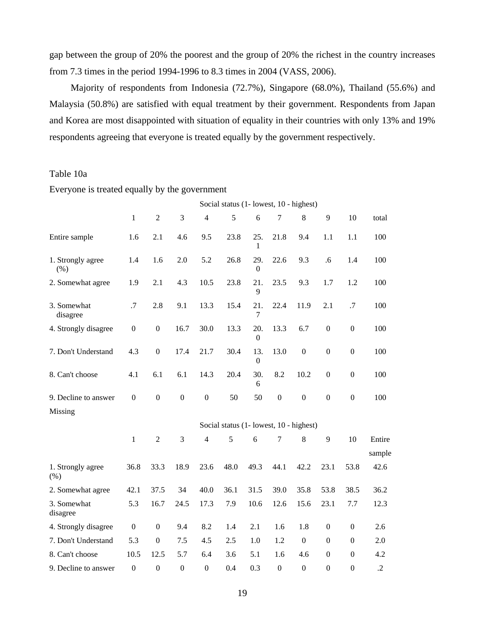gap between the group of 20% the poorest and the group of 20% the richest in the country increases from 7.3 times in the period 1994-1996 to 8.3 times in 2004 (VASS, 2006).

Majority of respondents from Indonesia (72.7%), Singapore (68.0%), Thailand (55.6%) and Malaysia (50.8%) are satisfied with equal treatment by their government. Respondents from Japan and Korea are most disappointed with situation of equality in their countries with only 13% and 19% respondents agreeing that everyone is treated equally by the government respectively.

# Table 10a

Everyone is treated equally by the government

|                           |                  | Social status (1- lowest, 10 - highest) |                  |                  |                                         |                         |                  |                  |                  |                  |                  |
|---------------------------|------------------|-----------------------------------------|------------------|------------------|-----------------------------------------|-------------------------|------------------|------------------|------------------|------------------|------------------|
|                           | $\mathbf{1}$     | $\overline{2}$                          | 3                | $\overline{4}$   | 5                                       | 6                       | $\tau$           | 8                | 9                | 10               | total            |
| Entire sample             | 1.6              | 2.1                                     | 4.6              | 9.5              | 23.8                                    | 25.<br>1                | 21.8             | 9.4              | 1.1              | 1.1              | 100              |
| 1. Strongly agree<br>(% ) | 1.4              | 1.6                                     | 2.0              | 5.2              | 26.8                                    | 29.<br>$\boldsymbol{0}$ | 22.6             | 9.3              | .6               | 1.4              | 100              |
| 2. Somewhat agree         | 1.9              | 2.1                                     | 4.3              | 10.5             | 23.8                                    | 21.<br>9                | 23.5             | 9.3              | 1.7              | 1.2              | 100              |
| 3. Somewhat<br>disagree   | .7               | 2.8                                     | 9.1              | 13.3             | 15.4                                    | 21.<br>7                | 22.4             | 11.9             | 2.1              | .7               | 100              |
| 4. Strongly disagree      | $\boldsymbol{0}$ | $\boldsymbol{0}$                        | 16.7             | 30.0             | 13.3                                    | 20.<br>$\boldsymbol{0}$ | 13.3             | 6.7              | $\boldsymbol{0}$ | $\boldsymbol{0}$ | 100              |
| 7. Don't Understand       | 4.3              | $\boldsymbol{0}$                        | 17.4             | 21.7             | 30.4                                    | 13.<br>$\boldsymbol{0}$ | 13.0             | $\boldsymbol{0}$ | $\boldsymbol{0}$ | $\boldsymbol{0}$ | 100              |
| 8. Can't choose           | 4.1              | 6.1                                     | 6.1              | 14.3             | 20.4                                    | 30.<br>6                | 8.2              | 10.2             | $\overline{0}$   | $\boldsymbol{0}$ | 100              |
| 9. Decline to answer      | $\boldsymbol{0}$ | $\boldsymbol{0}$                        | $\boldsymbol{0}$ | $\boldsymbol{0}$ | 50                                      | 50                      | $\boldsymbol{0}$ | $\boldsymbol{0}$ | $\boldsymbol{0}$ | $\boldsymbol{0}$ | 100              |
| Missing                   |                  |                                         |                  |                  |                                         |                         |                  |                  |                  |                  |                  |
|                           |                  |                                         |                  |                  | Social status (1- lowest, 10 - highest) |                         |                  |                  |                  |                  |                  |
|                           | $\mathbf{1}$     | $\overline{2}$                          | 3                | $\overline{4}$   | 5                                       | 6                       | $\tau$           | 8                | 9                | 10               | Entire<br>sample |
| 1. Strongly agree<br>(% ) | 36.8             | 33.3                                    | 18.9             | 23.6             | 48.0                                    | 49.3                    | 44.1             | 42.2             | 23.1             | 53.8             | 42.6             |
| 2. Somewhat agree         | 42.1             | 37.5                                    | 34               | 40.0             | 36.1                                    | 31.5                    | 39.0             | 35.8             | 53.8             | 38.5             | 36.2             |
| 3. Somewhat<br>disagree   | 5.3              | 16.7                                    | 24.5             | 17.3             | 7.9                                     | 10.6                    | 12.6             | 15.6             | 23.1             | 7.7              | 12.3             |
| 4. Strongly disagree      | $\boldsymbol{0}$ | $\boldsymbol{0}$                        | 9.4              | 8.2              | 1.4                                     | 2.1                     | 1.6              | 1.8              | $\boldsymbol{0}$ | $\boldsymbol{0}$ | 2.6              |
| 7. Don't Understand       | 5.3              | $\boldsymbol{0}$                        | 7.5              | 4.5              | 2.5                                     | 1.0                     | 1.2              | $\overline{0}$   | $\Omega$         | $\boldsymbol{0}$ | 2.0              |
| 8. Can't choose           | 10.5             | 12.5                                    | 5.7              | 6.4              | 3.6                                     | 5.1                     | 1.6              | 4.6              | $\Omega$         | $\boldsymbol{0}$ | 4.2              |
| 9. Decline to answer      | $\boldsymbol{0}$ | $\boldsymbol{0}$                        | $\boldsymbol{0}$ | $\mathbf{0}$     | 0.4                                     | 0.3                     | $\boldsymbol{0}$ | $\boldsymbol{0}$ | $\theta$         | $\mathbf{0}$     | $\cdot$ .2       |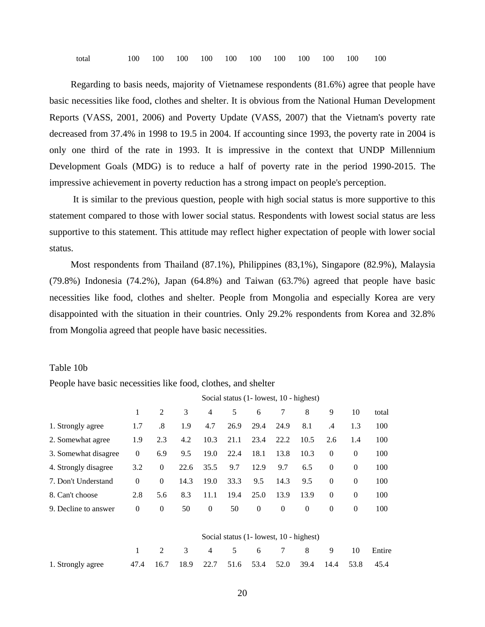total 100 100 100 100 100 100 100 100 100 100 100

Regarding to basis needs, majority of Vietnamese respondents (81.6%) agree that people have basic necessities like food, clothes and shelter. It is obvious from the National Human Development Reports (VASS, 2001, 2006) and Poverty Update (VASS, 2007) that the Vietnam's poverty rate decreased from 37.4% in 1998 to 19.5 in 2004. If accounting since 1993, the poverty rate in 2004 is only one third of the rate in 1993. It is impressive in the context that UNDP Millennium Development Goals (MDG) is to reduce a half of poverty rate in the period 1990-2015. The impressive achievement in poverty reduction has a strong impact on people's perception.

 It is similar to the previous question, people with high social status is more supportive to this statement compared to those with lower social status. Respondents with lowest social status are less supportive to this statement. This attitude may reflect higher expectation of people with lower social status.

Most respondents from Thailand (87.1%), Philippines (83,1%), Singapore (82.9%), Malaysia (79.8%) Indonesia (74.2%), Japan (64.8%) and Taiwan (63.7%) agreed that people have basic necessities like food, clothes and shelter. People from Mongolia and especially Korea are very disappointed with the situation in their countries. Only 29.2% respondents from Korea and 32.8% from Mongolia agreed that people have basic necessities.

#### Table 10b

People have basic necessities like food, clothes, and shelter

|                      | Social status (1- lowest, 10 - highest) |                |      |          |      |          |                                         |                |                |              |        |
|----------------------|-----------------------------------------|----------------|------|----------|------|----------|-----------------------------------------|----------------|----------------|--------------|--------|
|                      | 1                                       | $\overline{2}$ | 3    | 4        | 5    | 6        | 7                                       | 8              | 9              | 10           | total  |
| 1. Strongly agree    | 1.7                                     | .8             | 1.9  | 4.7      | 26.9 | 29.4     | 24.9                                    | 8.1            | .4             | 1.3          | 100    |
| 2. Somewhat agree    | 1.9                                     | 2.3            | 4.2  | 10.3     | 21.1 | 23.4     | 22.2                                    | 10.5           | 2.6            | 1.4          | 100    |
| 3. Somewhat disagree | $\Omega$                                | 6.9            | 9.5  | 19.0     | 22.4 | 18.1     | 13.8                                    | 10.3           | $\overline{0}$ | $\theta$     | 100    |
| 4. Strongly disagree | 3.2                                     | $\mathbf{0}$   | 22.6 | 35.5     | 9.7  | 12.9     | 9.7                                     | 6.5            | $\overline{0}$ | $\theta$     | 100    |
| 7. Don't Understand  | $\theta$                                | $\mathbf{0}$   | 14.3 | 19.0     | 33.3 | 9.5      | 14.3                                    | 9.5            | $\mathbf{0}$   | $\mathbf{0}$ | 100    |
| 8. Can't choose      | 2.8                                     | 5.6            | 8.3  | 11.1     | 19.4 | 25.0     | 13.9                                    | 13.9           | $\overline{0}$ | $\theta$     | 100    |
| 9. Decline to answer | $\theta$                                | $\theta$       | 50   | $\theta$ | 50   | $\theta$ | $\theta$                                | $\overline{0}$ | $\theta$       | $\theta$     | 100    |
|                      |                                         |                |      |          |      |          | Social status (1- lowest, 10 - highest) |                |                |              |        |
|                      | 1                                       | $\overline{2}$ | 3    | 4        | 5    | 6        | 7                                       | 8              | 9              | 10           | Entire |
| 1. Strongly agree    | 47.4                                    | 16.7           | 18.9 | 22.7     | 51.6 | 53.4     | 52.0                                    | 39.4           | 14.4           | 53.8         | 45.4   |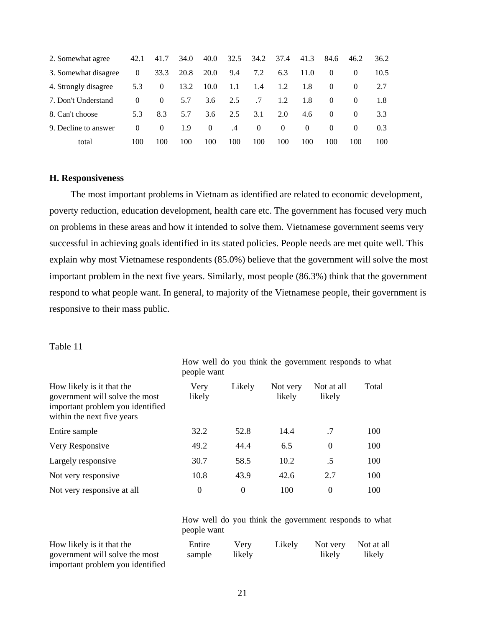| 2. Somewhat agree    | 42.1     | 41.7     | 34.0 | 40.0     | 32.5 | 34.2     | 37.4          | 41.3     | 84.6     | 46.2     | 36.2 |
|----------------------|----------|----------|------|----------|------|----------|---------------|----------|----------|----------|------|
| 3. Somewhat disagree | $\theta$ | 33.3     | 20.8 | 20.0     | 9.4  | 7.2      | 6.3           | 11.0     |          | $\Omega$ | 10.5 |
| 4. Strongly disagree | 5.3      | $\Omega$ | 13.2 | 10.0     | 1.1  | 1.4      | 1.2           | -1.8     | $\Omega$ | $\Omega$ | 2.7  |
| 7. Don't Understand  | $\theta$ | $\theta$ | 5.7  | 3.6      | 2.5  | $.7\,$   | $1.2^{\circ}$ | 1.8      | $\Omega$ | $\Omega$ | 1.8  |
| 8. Can't choose      | 5.3      | 8.3      | 5.7  | 3.6      | 2.5  | 3.1      | 2.0           | 4.6      | $\Omega$ | $\Omega$ | 3.3  |
| 9. Decline to answer | $\theta$ | $\theta$ | 1.9  | $\theta$ | .4   | $\Omega$ | $\theta$      | $\theta$ | $\Omega$ | $\left($ | 0.3  |
| total                | 100      | 100      | 100  | 100      | 100  | 100      | 100           | 100      | 100      | 100      | 100  |

# **H. Responsiveness**

The most important problems in Vietnam as identified are related to economic development, poverty reduction, education development, health care etc. The government has focused very much on problems in these areas and how it intended to solve them. Vietnamese government seems very successful in achieving goals identified in its stated policies. People needs are met quite well. This explain why most Vietnamese respondents (85.0%) believe that the government will solve the most important problem in the next five years. Similarly, most people (86.3%) think that the government respond to what people want. In general, to majority of the Vietnamese people, their government is responsive to their mass public.

#### Table 11

|                                                                                                                               | people want    |          |                    |                      |       |
|-------------------------------------------------------------------------------------------------------------------------------|----------------|----------|--------------------|----------------------|-------|
| How likely is it that the<br>government will solve the most<br>important problem you identified<br>within the next five years | Very<br>likely | Likely   | Not very<br>likely | Not at all<br>likely | Total |
| Entire sample                                                                                                                 | 32.2           | 52.8     | 14.4               | .7                   | 100   |
| Very Responsive                                                                                                               | 49.2           | 44.4     | 6.5                | $\overline{0}$       | 100   |
| Largely responsive                                                                                                            | 30.7           | 58.5     | 10.2               | .5                   | 100   |
| Not very responsive                                                                                                           | 10.8           | 43.9     | 42.6               | 2.7                  | 100   |
| Not very responsive at all                                                                                                    | $\theta$       | $\theta$ | 100                | $\theta$             | 100   |

How well do you think the government responds to what people want

How well do you think the government responds to what people want

| How likely is it that the        | Entire | Verv   | Likely |        | Not very Not at all |
|----------------------------------|--------|--------|--------|--------|---------------------|
| government will solve the most   | sample | likely |        | likely | likely              |
| important problem you identified |        |        |        |        |                     |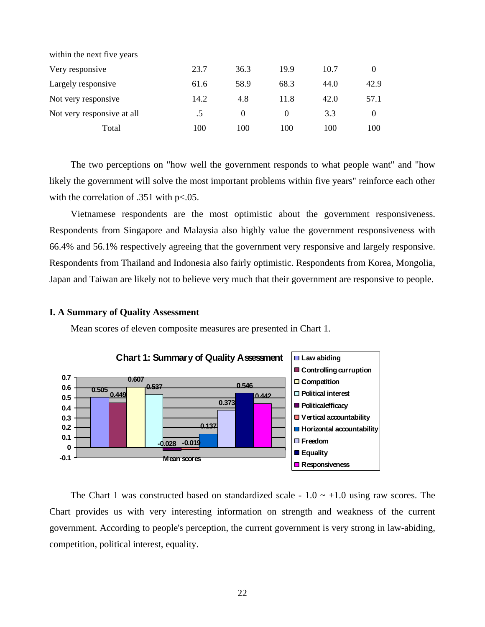| within the next five years |      |          |      |      |          |
|----------------------------|------|----------|------|------|----------|
| Very responsive            | 23.7 | 36.3     | 19.9 | 10.7 |          |
| Largely responsive         | 61.6 | 58.9     | 68.3 | 44.0 | 42.9     |
| Not very responsive        | 14.2 | 4.8      | 11.8 | 42.0 | 57.1     |
| Not very responsive at all | .5   | $\theta$ |      | 3.3  | $\Omega$ |
| Total                      | 100  | 100      | 100  | 100  | 100      |

The two perceptions on "how well the government responds to what people want" and "how likely the government will solve the most important problems within five years" reinforce each other with the correlation of .351 with p<.05.

Vietnamese respondents are the most optimistic about the government responsiveness. Respondents from Singapore and Malaysia also highly value the government responsiveness with 66.4% and 56.1% respectively agreeing that the government very responsive and largely responsive. Respondents from Thailand and Indonesia also fairly optimistic. Respondents from Korea, Mongolia, Japan and Taiwan are likely not to believe very much that their government are responsive to people.

# **I. A Summary of Quality Assessment**

Mean scores of eleven composite measures are presented in Chart 1.



The Chart 1 was constructed based on standardized scale -  $1.0 \sim +1.0$  using raw scores. The Chart provides us with very interesting information on strength and weakness of the current government. According to people's perception, the current government is very strong in law-abiding, competition, political interest, equality.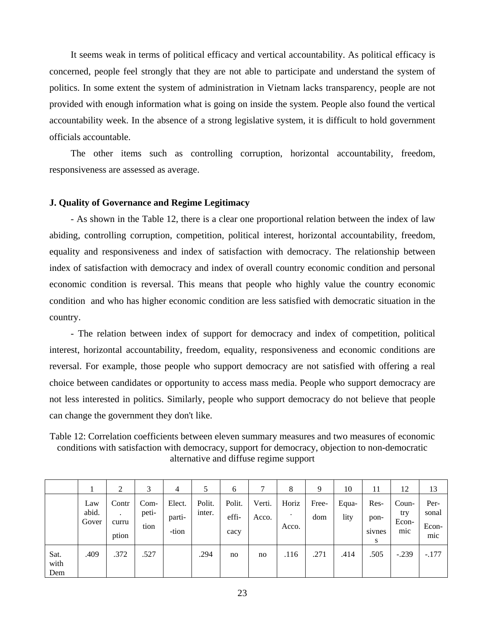It seems weak in terms of political efficacy and vertical accountability. As political efficacy is concerned, people feel strongly that they are not able to participate and understand the system of politics. In some extent the system of administration in Vietnam lacks transparency, people are not provided with enough information what is going on inside the system. People also found the vertical accountability week. In the absence of a strong legislative system, it is difficult to hold government officials accountable.

The other items such as controlling corruption, horizontal accountability, freedom, responsiveness are assessed as average.

# **J. Quality of Governance and Regime Legitimacy**

- As shown in the Table 12, there is a clear one proportional relation between the index of law abiding, controlling corruption, competition, political interest, horizontal accountability, freedom, equality and responsiveness and index of satisfaction with democracy. The relationship between index of satisfaction with democracy and index of overall country economic condition and personal economic condition is reversal. This means that people who highly value the country economic condition and who has higher economic condition are less satisfied with democratic situation in the country.

- The relation between index of support for democracy and index of competition, political interest, horizontal accountability, freedom, equality, responsiveness and economic conditions are reversal. For example, those people who support democracy are not satisfied with offering a real choice between candidates or opportunity to access mass media. People who support democracy are not less interested in politics. Similarly, people who support democracy do not believe that people can change the government they don't like.

Table 12: Correlation coefficients between eleven summary measures and two measures of economic conditions with satisfaction with democracy, support for democracy, objection to non-democratic alternative and diffuse regime support

|                     |                       | ◠                            | 3                     | 4                         |                  | 6                       | ⇁               | 8              | Q            | 10            | 11                          | 12                           | 13                            |
|---------------------|-----------------------|------------------------------|-----------------------|---------------------------|------------------|-------------------------|-----------------|----------------|--------------|---------------|-----------------------------|------------------------------|-------------------------------|
|                     | Law<br>abid.<br>Gover | Contr<br>٠<br>curru<br>ption | Com-<br>peti-<br>tion | Elect.<br>parti-<br>-tion | Polit.<br>inter. | Polit.<br>effi-<br>cacy | Verti.<br>Acco. | Horiz<br>Acco. | Free-<br>dom | Equa-<br>lity | Res-<br>pon-<br>sivnes<br>S | Coun-<br>try<br>Econ-<br>mic | Per-<br>sonal<br>Econ-<br>mic |
| Sat.<br>with<br>Dem | .409                  | .372                         | .527                  |                           | .294             | no                      | no              | .116           | .271         | .414          | .505                        | $-.239$                      | $-.177$                       |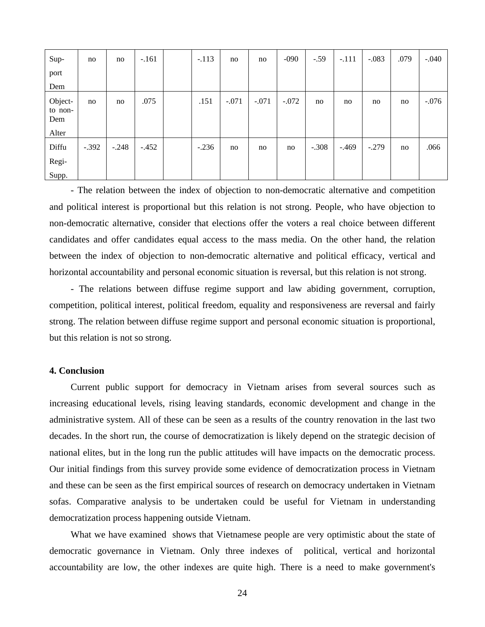| Sup-                      | no      | no      | $-.161$ | $-.113$ | no      | no      | $-090$  | $-.59$  | $-.111$ | $-.083$ | .079 | $-.040$ |
|---------------------------|---------|---------|---------|---------|---------|---------|---------|---------|---------|---------|------|---------|
| port                      |         |         |         |         |         |         |         |         |         |         |      |         |
| Dem                       |         |         |         |         |         |         |         |         |         |         |      |         |
| Object-<br>to non-<br>Dem | no      | no      | .075    | .151    | $-.071$ | $-.071$ | $-.072$ | no      | no      | no      | no   | $-.076$ |
| Alter                     |         |         |         |         |         |         |         |         |         |         |      |         |
| Diffu                     | $-.392$ | $-.248$ | $-.452$ | $-.236$ | no      | no      | no      | $-.308$ | $-.469$ | $-.279$ | no   | .066    |
| Regi-                     |         |         |         |         |         |         |         |         |         |         |      |         |
| Supp.                     |         |         |         |         |         |         |         |         |         |         |      |         |

- The relation between the index of objection to non-democratic alternative and competition and political interest is proportional but this relation is not strong. People, who have objection to non-democratic alternative, consider that elections offer the voters a real choice between different candidates and offer candidates equal access to the mass media. On the other hand, the relation between the index of objection to non-democratic alternative and political efficacy, vertical and horizontal accountability and personal economic situation is reversal, but this relation is not strong.

- The relations between diffuse regime support and law abiding government, corruption, competition, political interest, political freedom, equality and responsiveness are reversal and fairly strong. The relation between diffuse regime support and personal economic situation is proportional, but this relation is not so strong.

# **4. Conclusion**

Current public support for democracy in Vietnam arises from several sources such as increasing educational levels, rising leaving standards, economic development and change in the administrative system. All of these can be seen as a results of the country renovation in the last two decades. In the short run, the course of democratization is likely depend on the strategic decision of national elites, but in the long run the public attitudes will have impacts on the democratic process. Our initial findings from this survey provide some evidence of democratization process in Vietnam and these can be seen as the first empirical sources of research on democracy undertaken in Vietnam sofas. Comparative analysis to be undertaken could be useful for Vietnam in understanding democratization process happening outside Vietnam.

What we have examined shows that Vietnamese people are very optimistic about the state of democratic governance in Vietnam. Only three indexes of political, vertical and horizontal accountability are low, the other indexes are quite high. There is a need to make government's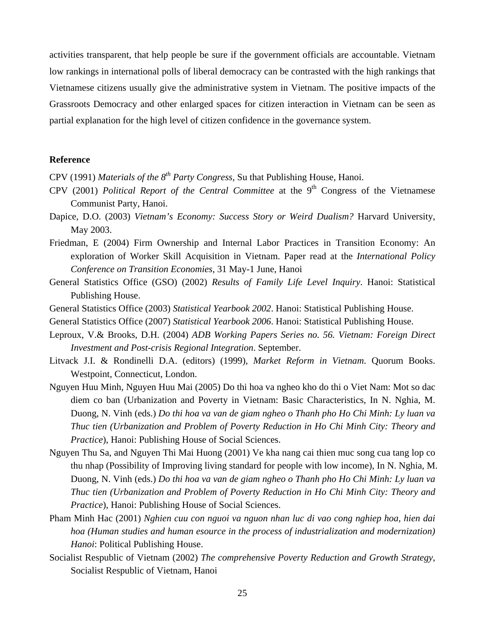activities transparent, that help people be sure if the government officials are accountable. Vietnam low rankings in international polls of liberal democracy can be contrasted with the high rankings that Vietnamese citizens usually give the administrative system in Vietnam. The positive impacts of the Grassroots Democracy and other enlarged spaces for citizen interaction in Vietnam can be seen as partial explanation for the high level of citizen confidence in the governance system.

# **Reference**

- CPV (1991) *Materials of the 8th Party Congress*, Su that Publishing House, Hanoi.
- CPV (2001) *Political Report of the Central Committee* at the 9<sup>th</sup> Congress of the Vietnamese Communist Party, Hanoi.
- Dapice, D.O. (2003) *Vietnam's Economy: Success Story or Weird Dualism?* Harvard University, May 2003.
- Friedman, E (2004) Firm Ownership and Internal Labor Practices in Transition Economy: An exploration of Worker Skill Acquisition in Vietnam. Paper read at the *International Policy Conference on Transition Economies*, 31 May-1 June, Hanoi
- General Statistics Office (GSO) (2002) *Results of Family Life Level Inquiry*. Hanoi: Statistical Publishing House.
- General Statistics Office (2003) *Statistical Yearbook 2002*. Hanoi: Statistical Publishing House.
- General Statistics Office (2007) *Statistical Yearbook 2006*. Hanoi: Statistical Publishing House.
- Leproux, V.& Brooks, D.H. (2004) *ADB Working Papers Series no. 56. Vietnam: Foreign Direct Investment and Post-crisis Regional Integration*. September.
- Litvack J.I. & Rondinelli D.A. (editors) (1999), *Market Reform in Vietnam*. Quorum Books. Westpoint, Connecticut, London.
- Nguyen Huu Minh, Nguyen Huu Mai (2005) Do thi hoa va ngheo kho do thi o Viet Nam: Mot so dac diem co ban (Urbanization and Poverty in Vietnam: Basic Characteristics, In N. Nghia, M. Duong, N. Vinh (eds.) *Do thi hoa va van de giam ngheo o Thanh pho Ho Chi Minh: Ly luan va Thuc tien (Urbanization and Problem of Poverty Reduction in Ho Chi Minh City: Theory and Practice*), Hanoi: Publishing House of Social Sciences.
- Nguyen Thu Sa, and Nguyen Thi Mai Huong (2001) Ve kha nang cai thien muc song cua tang lop co thu nhap (Possibility of Improving living standard for people with low income), In N. Nghia, M. Duong, N. Vinh (eds.) *Do thi hoa va van de giam ngheo o Thanh pho Ho Chi Minh: Ly luan va Thuc tien (Urbanization and Problem of Poverty Reduction in Ho Chi Minh City: Theory and Practice*), Hanoi: Publishing House of Social Sciences.
- Pham Minh Hac (2001) *Nghien cuu con nguoi va nguon nhan luc di vao cong nghiep hoa, hien dai hoa (Human studies and human esource in the process of industrialization and modernization) Hanoi*: Political Publishing House.
- Socialist Respublic of Vietnam (2002) *The comprehensive Poverty Reduction and Growth Strategy*, Socialist Respublic of Vietnam, Hanoi